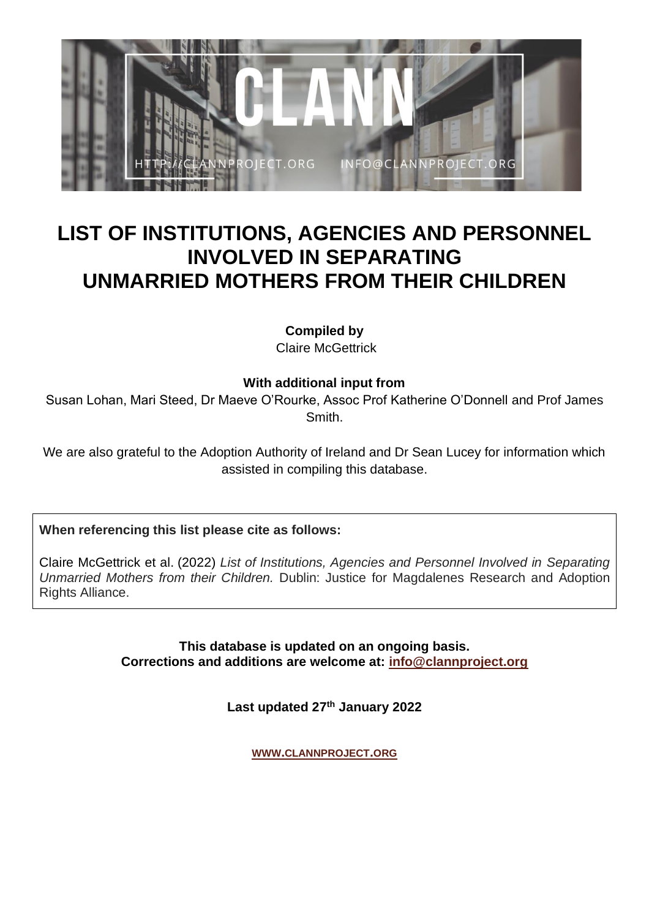

## **LIST OF INSTITUTIONS, AGENCIES AND PERSONNEL INVOLVED IN SEPARATING UNMARRIED MOTHERS FROM THEIR CHILDREN**

**Compiled by** Claire McGettrick

**With additional input from**

Susan Lohan, Mari Steed, Dr Maeve O'Rourke, Assoc Prof Katherine O'Donnell and Prof James Smith.

We are also grateful to the Adoption Authority of Ireland and Dr Sean Lucey for information which assisted in compiling this database.

**When referencing this list please cite as follows:**

Claire McGettrick et al. (2022) *List of Institutions, Agencies and Personnel Involved in Separating Unmarried Mothers from their Children.* Dublin: Justice for Magdalenes Research and Adoption Rights Alliance.

> **This database is updated on an ongoing basis. Corrections and additions are welcome at: [info@clannproject.org](mailto:info@clannproject.org)**

> > **Last updated 27th January 2022**

**WWW.[CLANNPROJECT](http://www.clannproject.org/).ORG**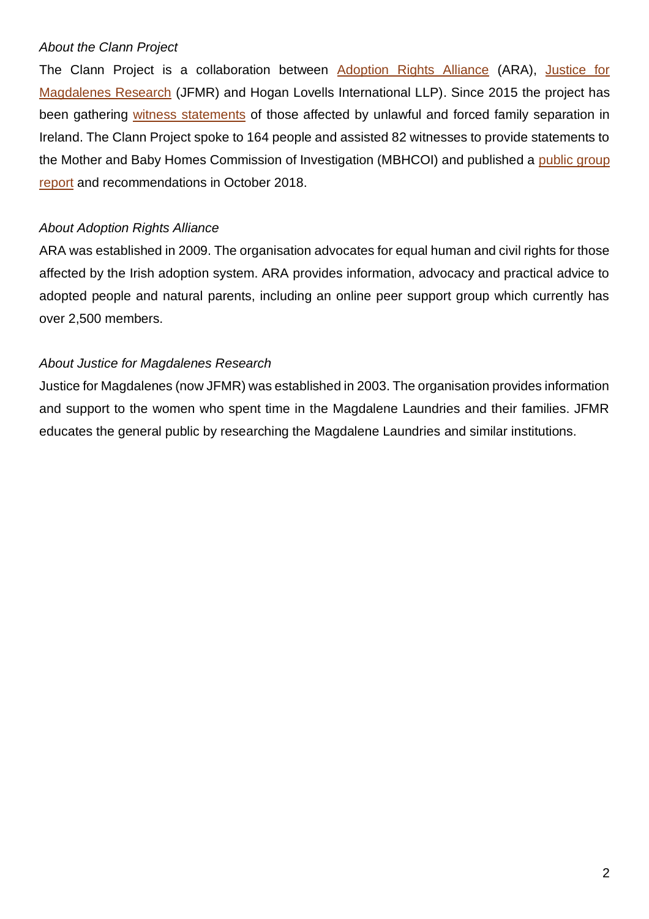## *About the Clann Project*

The Clann Project is a collaboration between [Adoption Rights Alliance](http://adoption.ie/) (ARA), [Justice for](http://jfmresearch.com/)  [Magdalenes Research](http://jfmresearch.com/) (JFMR) and Hogan Lovells International LLP). Since 2015 the project has been gathering [witness statements](http://clannproject.org/statements/) of those affected by unlawful and forced family separation in Ireland. The Clann Project spoke to 164 people and assisted 82 witnesses to provide statements to the Mother and Baby Homes Commission of Investigation (MBHCOI) and published a [public group](http://clannproject.org/clann-report/)  [report](http://clannproject.org/clann-report/) and recommendations in October 2018.

## *About Adoption Rights Alliance*

ARA was established in 2009. The organisation advocates for equal human and civil rights for those affected by the Irish adoption system. ARA provides information, advocacy and practical advice to adopted people and natural parents, including an online peer support group which currently has over 2,500 members.

## *About Justice for Magdalenes Research*

Justice for Magdalenes (now JFMR) was established in 2003. The organisation provides information and support to the women who spent time in the Magdalene Laundries and their families. JFMR educates the general public by researching the Magdalene Laundries and similar institutions.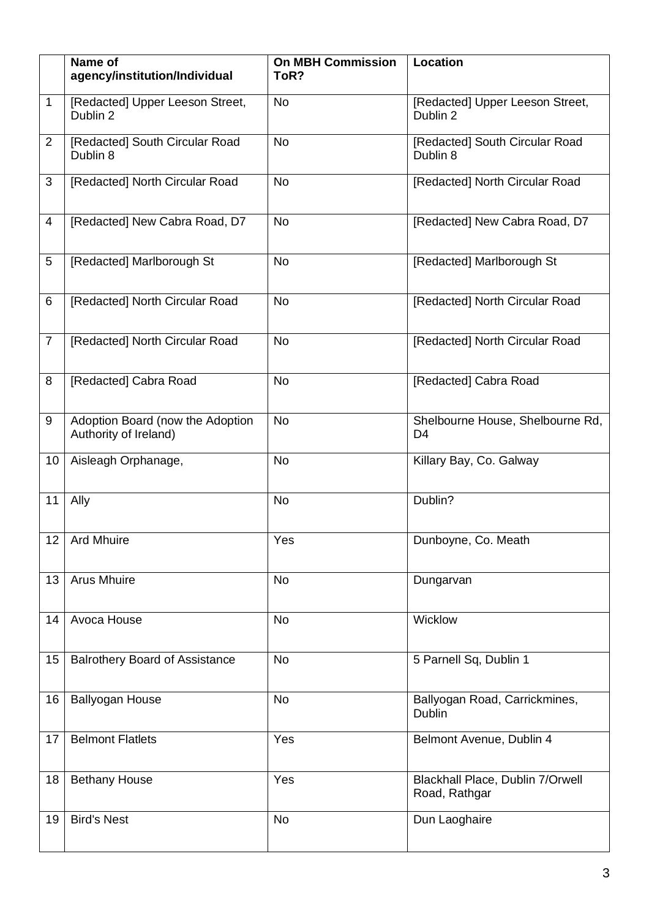|                | Name of<br>agency/institution/Individual                  | <b>On MBH Commission</b><br>ToR? | <b>Location</b>                                    |
|----------------|-----------------------------------------------------------|----------------------------------|----------------------------------------------------|
| $\mathbf{1}$   | [Redacted] Upper Leeson Street,<br>Dublin 2               | <b>No</b>                        | [Redacted] Upper Leeson Street,<br>Dublin 2        |
| 2              | [Redacted] South Circular Road<br>Dublin 8                | <b>No</b>                        | [Redacted] South Circular Road<br>Dublin 8         |
| 3              | [Redacted] North Circular Road                            | <b>No</b>                        | [Redacted] North Circular Road                     |
| 4              | [Redacted] New Cabra Road, D7                             | No                               | [Redacted] New Cabra Road, D7                      |
| 5              | [Redacted] Marlborough St                                 | No                               | [Redacted] Marlborough St                          |
| 6              | [Redacted] North Circular Road                            | No                               | [Redacted] North Circular Road                     |
| $\overline{7}$ | [Redacted] North Circular Road                            | <b>No</b>                        | [Redacted] North Circular Road                     |
| 8              | [Redacted] Cabra Road                                     | <b>No</b>                        | [Redacted] Cabra Road                              |
| 9              | Adoption Board (now the Adoption<br>Authority of Ireland) | <b>No</b>                        | Shelbourne House, Shelbourne Rd,<br>D <sub>4</sub> |
| 10             | Aisleagh Orphanage,                                       | <b>No</b>                        | Killary Bay, Co. Galway                            |
| 11             | Ally                                                      | <b>No</b>                        | Dublin?                                            |
|                | 12 Ard Mhuire                                             | Yes                              | Dunboyne, Co. Meath                                |
| 13             | <b>Arus Mhuire</b>                                        | <b>No</b>                        | Dungarvan                                          |
| 14             | Avoca House                                               | <b>No</b>                        | Wicklow                                            |
| 15             | <b>Balrothery Board of Assistance</b>                     | <b>No</b>                        | 5 Parnell Sq, Dublin 1                             |
| 16             | <b>Ballyogan House</b>                                    | No                               | Ballyogan Road, Carrickmines,<br>Dublin            |
| 17             | <b>Belmont Flatlets</b>                                   | Yes                              | Belmont Avenue, Dublin 4                           |
| 18             | <b>Bethany House</b>                                      | Yes                              | Blackhall Place, Dublin 7/Orwell<br>Road, Rathgar  |
| 19             | <b>Bird's Nest</b>                                        | No                               | Dun Laoghaire                                      |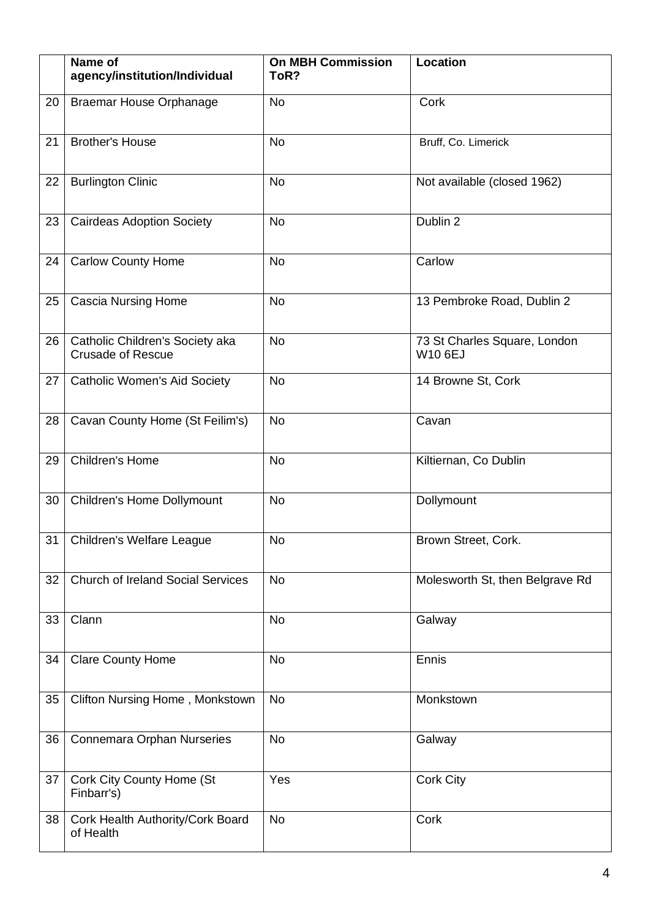|    | Name of<br>agency/institution/Individual                    | <b>On MBH Commission</b><br>ToR? | <b>Location</b>                                |
|----|-------------------------------------------------------------|----------------------------------|------------------------------------------------|
| 20 | <b>Braemar House Orphanage</b>                              | <b>No</b>                        | Cork                                           |
| 21 | <b>Brother's House</b>                                      | <b>No</b>                        | Bruff, Co. Limerick                            |
| 22 | <b>Burlington Clinic</b>                                    | <b>No</b>                        | Not available (closed 1962)                    |
| 23 | <b>Cairdeas Adoption Society</b>                            | <b>No</b>                        | Dublin 2                                       |
| 24 | <b>Carlow County Home</b>                                   | <b>No</b>                        | Carlow                                         |
| 25 | <b>Cascia Nursing Home</b>                                  | No                               | 13 Pembroke Road, Dublin 2                     |
| 26 | Catholic Children's Society aka<br><b>Crusade of Rescue</b> | <b>No</b>                        | 73 St Charles Square, London<br><b>W10 6EJ</b> |
| 27 | <b>Catholic Women's Aid Society</b>                         | <b>No</b>                        | 14 Browne St, Cork                             |
| 28 | Cavan County Home (St Feilim's)                             | <b>No</b>                        | Cavan                                          |
| 29 | Children's Home                                             | <b>No</b>                        | Kiltiernan, Co Dublin                          |
| 30 | <b>Children's Home Dollymount</b>                           | <b>No</b>                        | Dollymount                                     |
|    | 31   Children's Welfare League                              | No                               | Brown Street, Cork.                            |
| 32 | <b>Church of Ireland Social Services</b>                    | <b>No</b>                        | Molesworth St, then Belgrave Rd                |
| 33 | Clann                                                       | No                               | Galway                                         |
| 34 | <b>Clare County Home</b>                                    | <b>No</b>                        | Ennis                                          |
| 35 | Clifton Nursing Home, Monkstown                             | <b>No</b>                        | Monkstown                                      |
| 36 | Connemara Orphan Nurseries                                  | No                               | Galway                                         |
| 37 | Cork City County Home (St<br>Finbarr's)                     | Yes                              | <b>Cork City</b>                               |
| 38 | Cork Health Authority/Cork Board<br>of Health               | No                               | Cork                                           |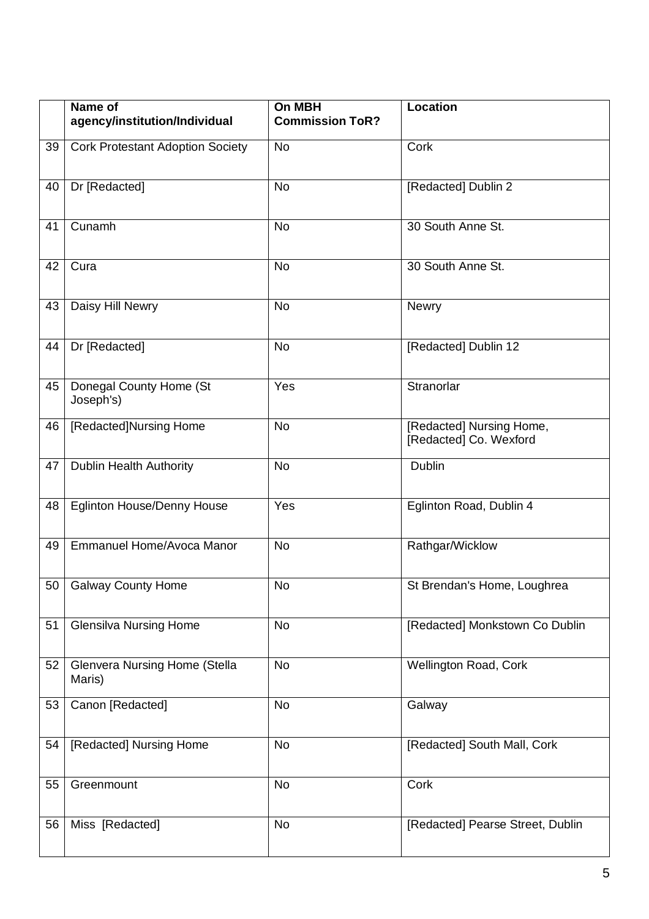|    | Name of<br>agency/institution/Individual       | On MBH<br><b>Commission ToR?</b> | <b>Location</b>                                    |
|----|------------------------------------------------|----------------------------------|----------------------------------------------------|
| 39 | <b>Cork Protestant Adoption Society</b>        | No                               | Cork                                               |
| 40 | Dr [Redacted]                                  | <b>No</b>                        | [Redacted] Dublin 2                                |
| 41 | Cunamh                                         | <b>No</b>                        | 30 South Anne St.                                  |
| 42 | Cura                                           | <b>No</b>                        | 30 South Anne St.                                  |
| 43 | Daisy Hill Newry                               | <b>No</b>                        | Newry                                              |
| 44 | Dr [Redacted]                                  | <b>No</b>                        | [Redacted] Dublin 12                               |
| 45 | Donegal County Home (St<br>Joseph's)           | Yes                              | Stranorlar                                         |
| 46 | [Redacted]Nursing Home                         | <b>No</b>                        | [Redacted] Nursing Home,<br>[Redacted] Co. Wexford |
| 47 | <b>Dublin Health Authority</b>                 | <b>No</b>                        | Dublin                                             |
| 48 | Eglinton House/Denny House                     | Yes                              | Eglinton Road, Dublin 4                            |
| 49 | Emmanuel Home/Avoca Manor                      | <b>No</b>                        | Rathgar/Wicklow                                    |
|    | 50   Galway County Home                        | No                               | St Brendan's Home, Loughrea                        |
| 51 | <b>Glensilva Nursing Home</b>                  | No                               | [Redacted] Monkstown Co Dublin                     |
| 52 | <b>Glenvera Nursing Home (Stella</b><br>Maris) | <b>No</b>                        | Wellington Road, Cork                              |
| 53 | Canon [Redacted]                               | <b>No</b>                        | Galway                                             |
| 54 | [Redacted] Nursing Home                        | No                               | [Redacted] South Mall, Cork                        |
| 55 | Greenmount                                     | No                               | Cork                                               |
| 56 | Miss [Redacted]                                | No                               | [Redacted] Pearse Street, Dublin                   |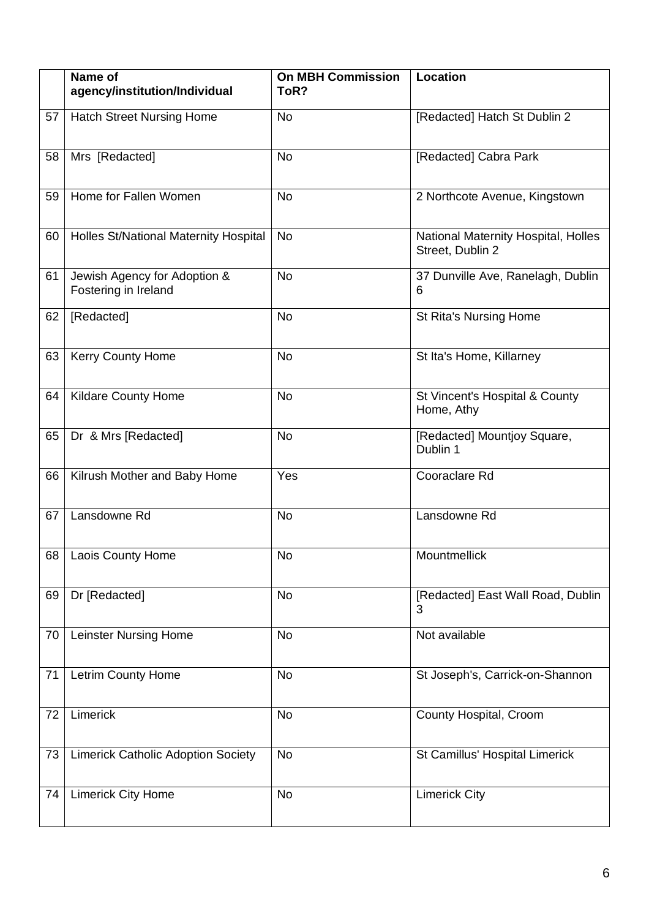|    | Name of<br>agency/institution/Individual             | <b>On MBH Commission</b><br>ToR? | Location                                                |
|----|------------------------------------------------------|----------------------------------|---------------------------------------------------------|
| 57 | <b>Hatch Street Nursing Home</b>                     | <b>No</b>                        | [Redacted] Hatch St Dublin 2                            |
| 58 | Mrs [Redacted]                                       | <b>No</b>                        | [Redacted] Cabra Park                                   |
| 59 | Home for Fallen Women                                | <b>No</b>                        | 2 Northcote Avenue, Kingstown                           |
| 60 | <b>Holles St/National Maternity Hospital</b>         | <b>No</b>                        | National Maternity Hospital, Holles<br>Street, Dublin 2 |
| 61 | Jewish Agency for Adoption &<br>Fostering in Ireland | <b>No</b>                        | 37 Dunville Ave, Ranelagh, Dublin<br>6                  |
| 62 | [Redacted]                                           | <b>No</b>                        | <b>St Rita's Nursing Home</b>                           |
| 63 | Kerry County Home                                    | <b>No</b>                        | St Ita's Home, Killarney                                |
| 64 | <b>Kildare County Home</b>                           | <b>No</b>                        | St Vincent's Hospital & County<br>Home, Athy            |
| 65 | Dr & Mrs [Redacted]                                  | <b>No</b>                        | [Redacted] Mountjoy Square,<br>Dublin 1                 |
| 66 | Kilrush Mother and Baby Home                         | Yes                              | Cooraclare Rd                                           |
| 67 | Lansdowne Rd                                         | <b>No</b>                        | Lansdowne Rd                                            |
|    | 68   Laois County Home                               | No                               | Mountmellick                                            |
| 69 | Dr [Redacted]                                        | <b>No</b>                        | [Redacted] East Wall Road, Dublin<br>3                  |
| 70 | <b>Leinster Nursing Home</b>                         | <b>No</b>                        | Not available                                           |
| 71 | Letrim County Home                                   | <b>No</b>                        | St Joseph's, Carrick-on-Shannon                         |
| 72 | Limerick                                             | <b>No</b>                        | County Hospital, Croom                                  |
| 73 | <b>Limerick Catholic Adoption Society</b>            | <b>No</b>                        | St Camillus' Hospital Limerick                          |
| 74 | <b>Limerick City Home</b>                            | <b>No</b>                        | <b>Limerick City</b>                                    |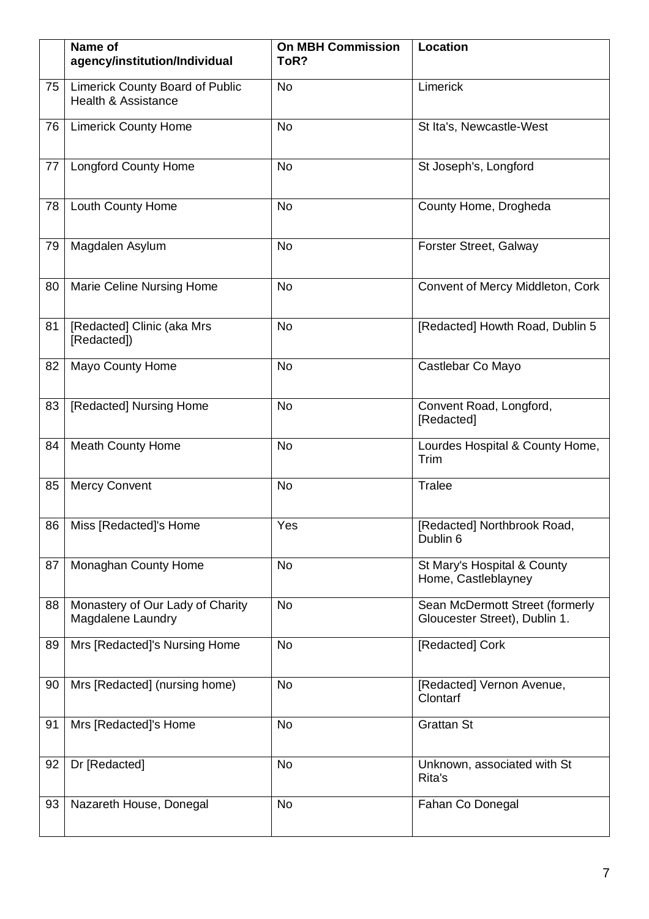|    | Name of<br>agency/institution/Individual                                 | <b>On MBH Commission</b><br>ToR? | Location                                                         |
|----|--------------------------------------------------------------------------|----------------------------------|------------------------------------------------------------------|
| 75 | <b>Limerick County Board of Public</b><br><b>Health &amp; Assistance</b> | <b>No</b>                        | Limerick                                                         |
| 76 | <b>Limerick County Home</b>                                              | No                               | St Ita's, Newcastle-West                                         |
| 77 | <b>Longford County Home</b>                                              | No                               | St Joseph's, Longford                                            |
| 78 | <b>Louth County Home</b>                                                 | <b>No</b>                        | County Home, Drogheda                                            |
| 79 | Magdalen Asylum                                                          | No                               | Forster Street, Galway                                           |
| 80 | Marie Celine Nursing Home                                                | No                               | Convent of Mercy Middleton, Cork                                 |
| 81 | [Redacted] Clinic (aka Mrs<br>[Redacted])                                | No                               | [Redacted] Howth Road, Dublin 5                                  |
| 82 | <b>Mayo County Home</b>                                                  | No                               | Castlebar Co Mayo                                                |
| 83 | [Redacted] Nursing Home                                                  | No                               | Convent Road, Longford,<br>[Redacted]                            |
| 84 | <b>Meath County Home</b>                                                 | No                               | Lourdes Hospital & County Home,<br>Trim                          |
| 85 | <b>Mercy Convent</b>                                                     | <b>No</b>                        | Tralee                                                           |
|    | 86   Miss [Redacted]'s Home                                              | Yes                              | [Redacted] Northbrook Road,<br>Dublin 6                          |
| 87 | Monaghan County Home                                                     | No                               | St Mary's Hospital & County<br>Home, Castleblayney               |
| 88 | Monastery of Our Lady of Charity<br>Magdalene Laundry                    | No                               | Sean McDermott Street (formerly<br>Gloucester Street), Dublin 1. |
| 89 | Mrs [Redacted]'s Nursing Home                                            | <b>No</b>                        | [Redacted] Cork                                                  |
| 90 | Mrs [Redacted] (nursing home)                                            | No                               | [Redacted] Vernon Avenue,<br>Clontarf                            |
| 91 | Mrs [Redacted]'s Home                                                    | <b>No</b>                        | <b>Grattan St</b>                                                |
| 92 | Dr [Redacted]                                                            | <b>No</b>                        | Unknown, associated with St<br>Rita's                            |
| 93 | Nazareth House, Donegal                                                  | No                               | Fahan Co Donegal                                                 |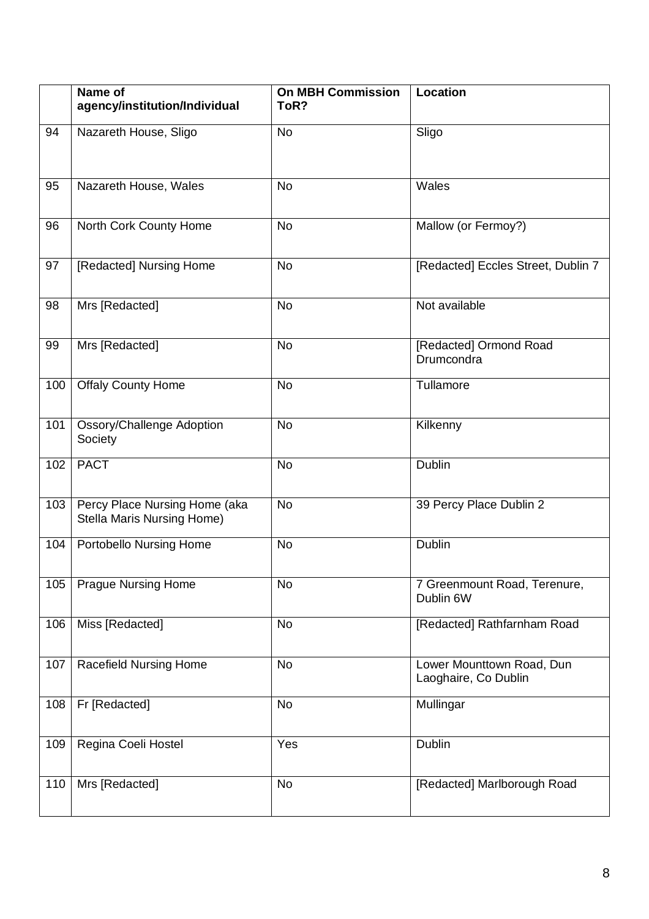|     | Name of<br>agency/institution/Individual                           | <b>On MBH Commission</b><br>ToR? | Location                                          |
|-----|--------------------------------------------------------------------|----------------------------------|---------------------------------------------------|
| 94  | Nazareth House, Sligo                                              | <b>No</b>                        | Sligo                                             |
| 95  | Nazareth House, Wales                                              | <b>No</b>                        | Wales                                             |
| 96  | North Cork County Home                                             | <b>No</b>                        | Mallow (or Fermoy?)                               |
| 97  | [Redacted] Nursing Home                                            | No                               | [Redacted] Eccles Street, Dublin 7                |
| 98  | Mrs [Redacted]                                                     | No                               | Not available                                     |
| 99  | Mrs [Redacted]                                                     | <b>No</b>                        | [Redacted] Ormond Road<br>Drumcondra              |
| 100 | <b>Offaly County Home</b>                                          | No                               | Tullamore                                         |
| 101 | Ossory/Challenge Adoption<br>Society                               | <b>No</b>                        | Kilkenny                                          |
| 102 | <b>PACT</b>                                                        | <b>No</b>                        | Dublin                                            |
| 103 | Percy Place Nursing Home (aka<br><b>Stella Maris Nursing Home)</b> | <b>No</b>                        | 39 Percy Place Dublin 2                           |
| 104 | Portobello Nursing Home                                            | <b>No</b>                        | Dublin                                            |
| 105 | <b>Prague Nursing Home</b>                                         | <b>No</b>                        | 7 Greenmount Road, Terenure,<br>Dublin 6W         |
| 106 | Miss [Redacted]                                                    | No                               | [Redacted] Rathfarnham Road                       |
| 107 | <b>Racefield Nursing Home</b>                                      | No                               | Lower Mounttown Road, Dun<br>Laoghaire, Co Dublin |
| 108 | Fr [Redacted]                                                      | No                               | Mullingar                                         |
| 109 | Regina Coeli Hostel                                                | Yes                              | Dublin                                            |
| 110 | Mrs [Redacted]                                                     | No                               | [Redacted] Marlborough Road                       |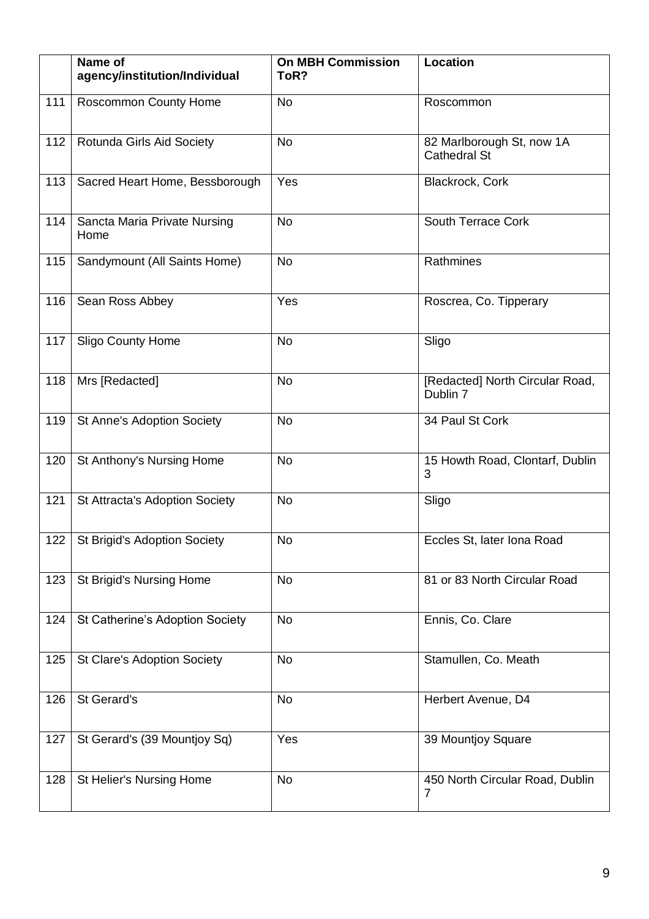|     | Name of<br>agency/institution/Individual | <b>On MBH Commission</b><br>ToR? | Location                                         |
|-----|------------------------------------------|----------------------------------|--------------------------------------------------|
| 111 | <b>Roscommon County Home</b>             | <b>No</b>                        | Roscommon                                        |
| 112 | Rotunda Girls Aid Society                | No                               | 82 Marlborough St, now 1A<br><b>Cathedral St</b> |
| 113 | Sacred Heart Home, Bessborough           | Yes                              | Blackrock, Cork                                  |
| 114 | Sancta Maria Private Nursing<br>Home     | <b>No</b>                        | South Terrace Cork                               |
| 115 | Sandymount (All Saints Home)             | No                               | Rathmines                                        |
| 116 | Sean Ross Abbey                          | Yes                              | Roscrea, Co. Tipperary                           |
| 117 | <b>Sligo County Home</b>                 | <b>No</b>                        | Sligo                                            |
| 118 | Mrs [Redacted]                           | <b>No</b>                        | [Redacted] North Circular Road,<br>Dublin 7      |
| 119 | <b>St Anne's Adoption Society</b>        | <b>No</b>                        | 34 Paul St Cork                                  |
| 120 | St Anthony's Nursing Home                | <b>No</b>                        | 15 Howth Road, Clontarf, Dublin<br>3             |
| 121 | St Attracta's Adoption Society           | <b>No</b>                        | Sligo                                            |
|     | 122   St Brigid's Adoption Society       | No                               | Eccles St, later Iona Road                       |
| 123 | St Brigid's Nursing Home                 | No                               | 81 or 83 North Circular Road                     |
| 124 | St Catherine's Adoption Society          | <b>No</b>                        | Ennis, Co. Clare                                 |
| 125 | <b>St Clare's Adoption Society</b>       | <b>No</b>                        | Stamullen, Co. Meath                             |
| 126 | St Gerard's                              | No                               | Herbert Avenue, D4                               |
| 127 | St Gerard's (39 Mountjoy Sq)             | Yes                              | 39 Mountjoy Square                               |
| 128 | St Helier's Nursing Home                 | No                               | 450 North Circular Road, Dublin<br>7             |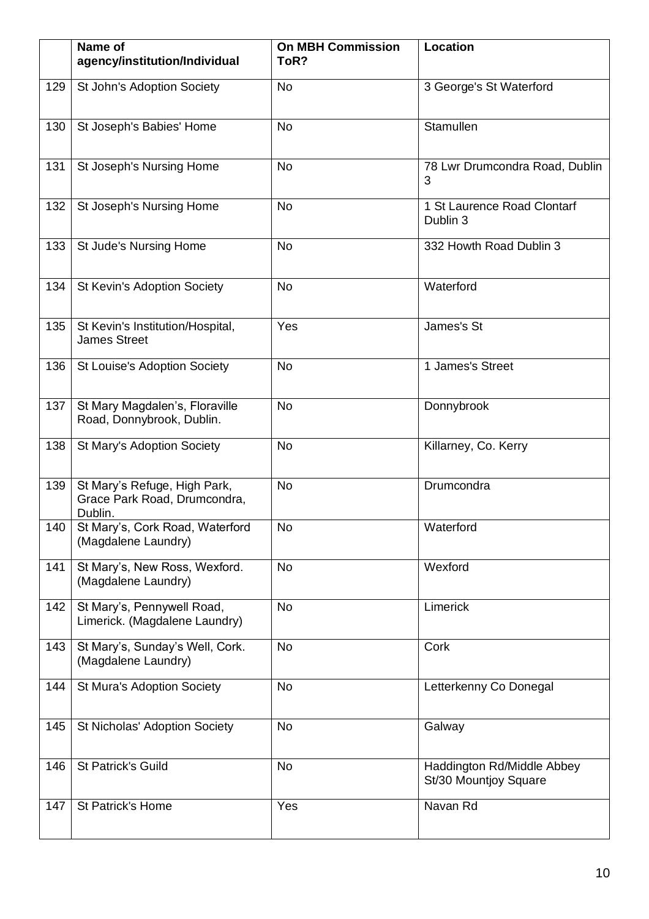|     | Name of<br>agency/institution/Individual                                | <b>On MBH Commission</b><br>ToR? | Location                                            |
|-----|-------------------------------------------------------------------------|----------------------------------|-----------------------------------------------------|
| 129 | St John's Adoption Society                                              | <b>No</b>                        | 3 George's St Waterford                             |
| 130 | St Joseph's Babies' Home                                                | <b>No</b>                        | Stamullen                                           |
| 131 | St Joseph's Nursing Home                                                | <b>No</b>                        | 78 Lwr Drumcondra Road, Dublin<br>3                 |
| 132 | St Joseph's Nursing Home                                                | <b>No</b>                        | 1 St Laurence Road Clontarf<br>Dublin 3             |
| 133 | St Jude's Nursing Home                                                  | <b>No</b>                        | 332 Howth Road Dublin 3                             |
| 134 | St Kevin's Adoption Society                                             | No                               | Waterford                                           |
| 135 | St Kevin's Institution/Hospital,<br><b>James Street</b>                 | Yes                              | James's St                                          |
| 136 | <b>St Louise's Adoption Society</b>                                     | No                               | 1 James's Street                                    |
| 137 | St Mary Magdalen's, Floraville<br>Road, Donnybrook, Dublin.             | No                               | Donnybrook                                          |
| 138 | St Mary's Adoption Society                                              | No                               | Killarney, Co. Kerry                                |
| 139 | St Mary's Refuge, High Park,<br>Grace Park Road, Drumcondra,<br>Dublin. | <b>No</b>                        | Drumcondra                                          |
| 140 | St Mary's, Cork Road, Waterford<br>(Magdalene Laundry)                  | <b>No</b>                        | Waterford                                           |
| 141 | St Mary's, New Ross, Wexford.<br>(Magdalene Laundry)                    | <b>No</b>                        | Wexford                                             |
| 142 | St Mary's, Pennywell Road,<br>Limerick. (Magdalene Laundry)             | <b>No</b>                        | Limerick                                            |
| 143 | St Mary's, Sunday's Well, Cork.<br>(Magdalene Laundry)                  | No                               | Cork                                                |
| 144 | St Mura's Adoption Society                                              | No                               | Letterkenny Co Donegal                              |
| 145 | St Nicholas' Adoption Society                                           | No                               | Galway                                              |
| 146 | St Patrick's Guild                                                      | No                               | Haddington Rd/Middle Abbey<br>St/30 Mountjoy Square |
| 147 | St Patrick's Home                                                       | Yes                              | Navan Rd                                            |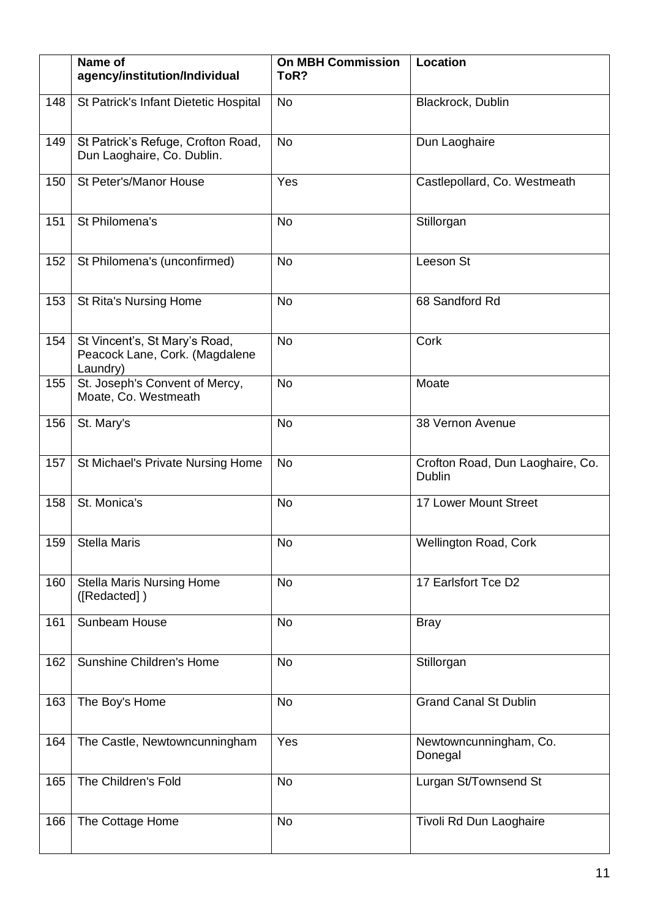|     | Name of<br>agency/institution/Individual                                    | <b>On MBH Commission</b><br>ToR? | Location                                   |
|-----|-----------------------------------------------------------------------------|----------------------------------|--------------------------------------------|
| 148 | St Patrick's Infant Dietetic Hospital                                       | <b>No</b>                        | Blackrock, Dublin                          |
| 149 | St Patrick's Refuge, Crofton Road,<br>Dun Laoghaire, Co. Dublin.            | <b>No</b>                        | Dun Laoghaire                              |
| 150 | St Peter's/Manor House                                                      | Yes                              | Castlepollard, Co. Westmeath               |
| 151 | St Philomena's                                                              | No                               | Stillorgan                                 |
| 152 | St Philomena's (unconfirmed)                                                | <b>No</b>                        | Leeson St                                  |
| 153 | <b>St Rita's Nursing Home</b>                                               | No                               | 68 Sandford Rd                             |
| 154 | St Vincent's, St Mary's Road,<br>Peacock Lane, Cork. (Magdalene<br>Laundry) | <b>No</b>                        | Cork                                       |
| 155 | St. Joseph's Convent of Mercy,<br>Moate, Co. Westmeath                      | <b>No</b>                        | Moate                                      |
| 156 | St. Mary's                                                                  | <b>No</b>                        | 38 Vernon Avenue                           |
| 157 | St Michael's Private Nursing Home                                           | <b>No</b>                        | Crofton Road, Dun Laoghaire, Co.<br>Dublin |
| 158 | St. Monica's                                                                | No                               | 17 Lower Mount Street                      |
| 159 | <b>Stella Maris</b>                                                         | No                               | Wellington Road, Cork                      |
| 160 | <b>Stella Maris Nursing Home</b><br>([Redacted])                            | No                               | 17 Earlsfort Tce D2                        |
| 161 | Sunbeam House                                                               | No                               | <b>Bray</b>                                |
| 162 | Sunshine Children's Home                                                    | <b>No</b>                        | Stillorgan                                 |
| 163 | The Boy's Home                                                              | <b>No</b>                        | <b>Grand Canal St Dublin</b>               |
| 164 | The Castle, Newtowncunningham                                               | Yes                              | Newtowncunningham, Co.<br>Donegal          |
| 165 | The Children's Fold                                                         | <b>No</b>                        | Lurgan St/Townsend St                      |
| 166 | The Cottage Home                                                            | <b>No</b>                        | Tivoli Rd Dun Laoghaire                    |